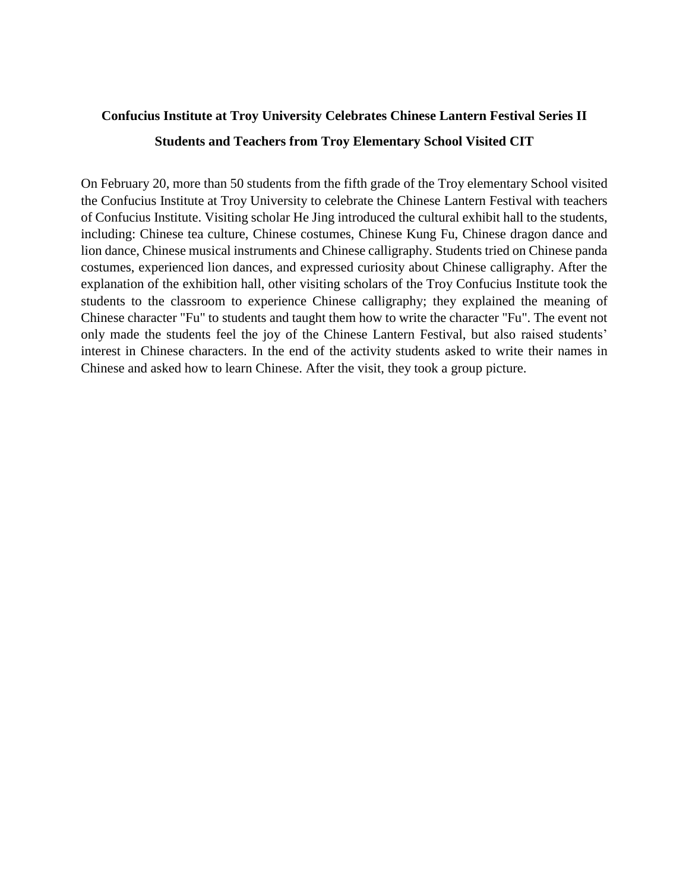## **Confucius Institute at Troy University Celebrates Chinese Lantern Festival Series II Students and Teachers from Troy Elementary School Visited CIT**

On February 20, more than 50 students from the fifth grade of the Troy elementary School visited the Confucius Institute at Troy University to celebrate the Chinese Lantern Festival with teachers of Confucius Institute. Visiting scholar He Jing introduced the cultural exhibit hall to the students, including: Chinese tea culture, Chinese costumes, Chinese Kung Fu, Chinese dragon dance and lion dance, Chinese musical instruments and Chinese calligraphy. Students tried on Chinese panda costumes, experienced lion dances, and expressed curiosity about Chinese calligraphy. After the explanation of the exhibition hall, other visiting scholars of the Troy Confucius Institute took the students to the classroom to experience Chinese calligraphy; they explained the meaning of Chinese character "Fu" to students and taught them how to write the character "Fu". The event not only made the students feel the joy of the Chinese Lantern Festival, but also raised students' interest in Chinese characters. In the end of the activity students asked to write their names in Chinese and asked how to learn Chinese. After the visit, they took a group picture.